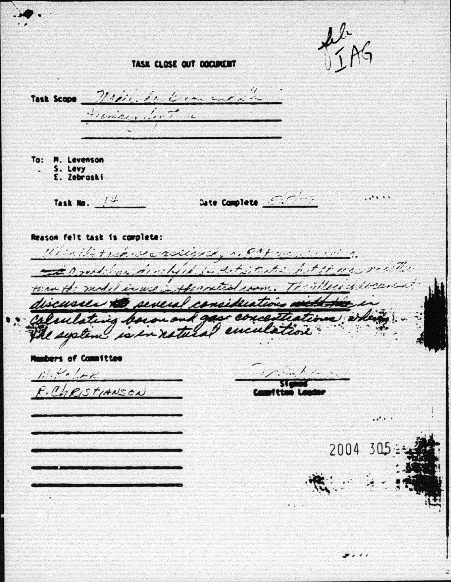$A + B$ 

TASK CLOSE OUT DOCUMENT

Task Scope Maple, de l'une sur d'a Frenze Let To: M. Levenson . S. Levy<br>E. Zebroski Task No.  $\frac{1}{4}$  $. 1.1.1$ Reason felt task is complete: Which the track we exclude the contract with the Tanged by a high in det state bet it may really then the meditioned in the method com. The ville is decuring discusses to several considerations with the colucting become and gase concentrations, when The system is in natural cuiulation **Nambers of Committee**  $k$  , and the set  $\mathbb{R}^d$ .  $\mathbb{R}^d$  $R.$ COPISTIANSON  $\cdot \cdot$  . . 2004 305